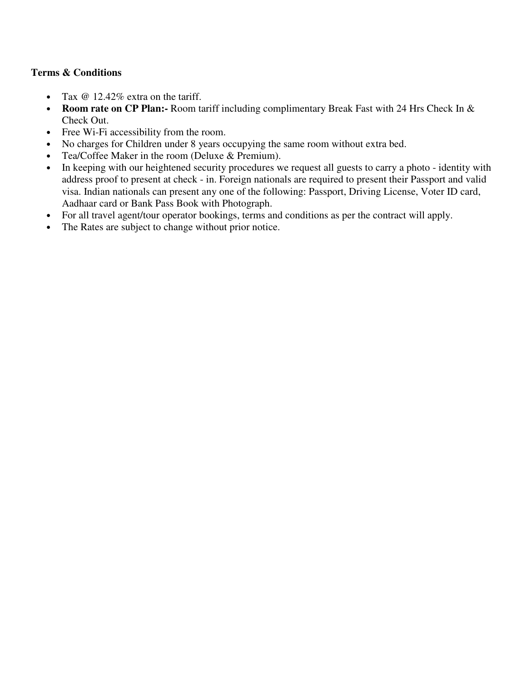## **Terms & Conditions**

- Tax  $@ 12.42\%$  extra on the tariff.
- **Room rate on CP Plan:** Room tariff including complimentary Break Fast with 24 Hrs Check In & Check Out.
- Free Wi-Fi accessibility from the room.
- No charges for Children under 8 years occupying the same room without extra bed.
- Tea/Coffee Maker in the room (Deluxe & Premium).
- In keeping with our heightened security procedures we request all guests to carry a photo identity with address proof to present at check - in. Foreign nationals are required to present their Passport and valid visa. Indian nationals can present any one of the following: Passport, Driving License, Voter ID card, Aadhaar card or Bank Pass Book with Photograph.
- For all travel agent/tour operator bookings, terms and conditions as per the contract will apply.
- The Rates are subject to change without prior notice.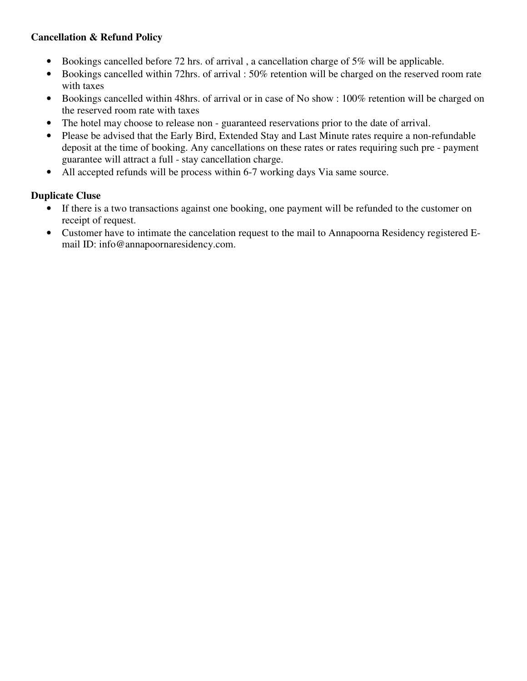# **Cancellation & Refund Policy**

- Bookings cancelled before 72 hrs. of arrival , a cancellation charge of 5% will be applicable.
- Bookings cancelled within 72hrs. of arrival : 50% retention will be charged on the reserved room rate with taxes
- Bookings cancelled within 48hrs. of arrival or in case of No show : 100% retention will be charged on the reserved room rate with taxes
- The hotel may choose to release non guaranteed reservations prior to the date of arrival.
- Please be advised that the Early Bird, Extended Stay and Last Minute rates require a non-refundable deposit at the time of booking. Any cancellations on these rates or rates requiring such pre - payment guarantee will attract a full - stay cancellation charge.
- All accepted refunds will be process within 6-7 working days Via same source.

## **Duplicate Cluse**

- If there is a two transactions against one booking, one payment will be refunded to the customer on receipt of request.
- Customer have to intimate the cancelation request to the mail to Annapoorna Residency registered Email ID: info@annapoornaresidency.com.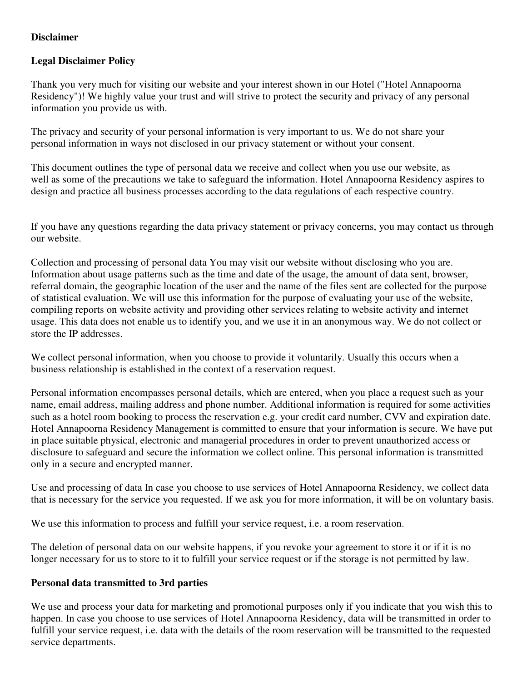## **Disclaimer**

## **Legal Disclaimer Policy**

Thank you very much for visiting our website and your interest shown in our Hotel ("Hotel Annapoorna Residency")! We highly value your trust and will strive to protect the security and privacy of any personal information you provide us with.

The privacy and security of your personal information is very important to us. We do not share your personal information in ways not disclosed in our privacy statement or without your consent.

This document outlines the type of personal data we receive and collect when you use our website, as well as some of the precautions we take to safeguard the information. Hotel Annapoorna Residency aspires to design and practice all business processes according to the data regulations of each respective country.

If you have any questions regarding the data privacy statement or privacy concerns, you may contact us through our website.

Collection and processing of personal data You may visit our website without disclosing who you are. Information about usage patterns such as the time and date of the usage, the amount of data sent, browser, referral domain, the geographic location of the user and the name of the files sent are collected for the purpose of statistical evaluation. We will use this information for the purpose of evaluating your use of the website, compiling reports on website activity and providing other services relating to website activity and internet usage. This data does not enable us to identify you, and we use it in an anonymous way. We do not collect or store the IP addresses.

We collect personal information, when you choose to provide it voluntarily. Usually this occurs when a business relationship is established in the context of a reservation request.

Personal information encompasses personal details, which are entered, when you place a request such as your name, email address, mailing address and phone number. Additional information is required for some activities such as a hotel room booking to process the reservation e.g. your credit card number, CVV and expiration date. Hotel Annapoorna Residency Management is committed to ensure that your information is secure. We have put in place suitable physical, electronic and managerial procedures in order to prevent unauthorized access or disclosure to safeguard and secure the information we collect online. This personal information is transmitted only in a secure and encrypted manner.

Use and processing of data In case you choose to use services of Hotel Annapoorna Residency, we collect data that is necessary for the service you requested. If we ask you for more information, it will be on voluntary basis.

We use this information to process and fulfill your service request, i.e. a room reservation.

The deletion of personal data on our website happens, if you revoke your agreement to store it or if it is no longer necessary for us to store to it to fulfill your service request or if the storage is not permitted by law.

## **Personal data transmitted to 3rd parties**

We use and process your data for marketing and promotional purposes only if you indicate that you wish this to happen. In case you choose to use services of Hotel Annapoorna Residency, data will be transmitted in order to fulfill your service request, i.e. data with the details of the room reservation will be transmitted to the requested service departments.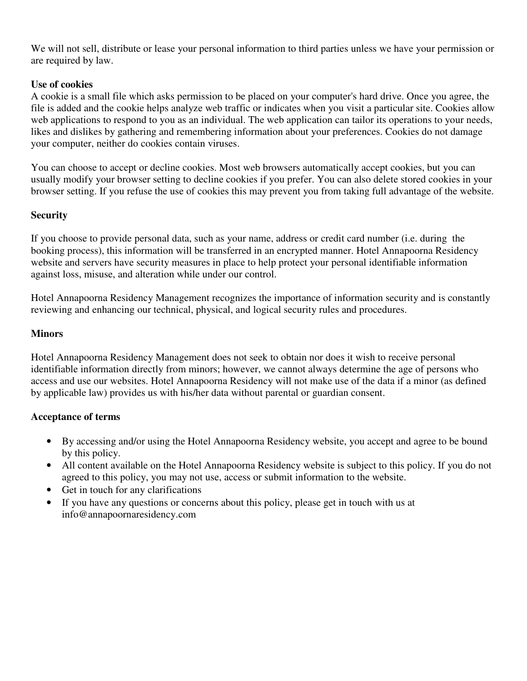We will not sell, distribute or lease your personal information to third parties unless we have your permission or are required by law.

## **Use of cookies**

A cookie is a small file which asks permission to be placed on your computer's hard drive. Once you agree, the file is added and the cookie helps analyze web traffic or indicates when you visit a particular site. Cookies allow web applications to respond to you as an individual. The web application can tailor its operations to your needs, likes and dislikes by gathering and remembering information about your preferences. Cookies do not damage your computer, neither do cookies contain viruses.

You can choose to accept or decline cookies. Most web browsers automatically accept cookies, but you can usually modify your browser setting to decline cookies if you prefer. You can also delete stored cookies in your browser setting. If you refuse the use of cookies this may prevent you from taking full advantage of the website.

## **Security**

If you choose to provide personal data, such as your name, address or credit card number (i.e. during the booking process), this information will be transferred in an encrypted manner. Hotel Annapoorna Residency website and servers have security measures in place to help protect your personal identifiable information against loss, misuse, and alteration while under our control.

Hotel Annapoorna Residency Management recognizes the importance of information security and is constantly reviewing and enhancing our technical, physical, and logical security rules and procedures.

## **Minors**

Hotel Annapoorna Residency Management does not seek to obtain nor does it wish to receive personal identifiable information directly from minors; however, we cannot always determine the age of persons who access and use our websites. Hotel Annapoorna Residency will not make use of the data if a minor (as defined by applicable law) provides us with his/her data without parental or guardian consent.

## **Acceptance of terms**

- By accessing and/or using the Hotel Annapoorna Residency website, you accept and agree to be bound by this policy.
- All content available on the Hotel Annapoorna Residency website is subject to this policy. If you do not agreed to this policy, you may not use, access or submit information to the website.
- Get in touch for any clarifications
- If you have any questions or concerns about this policy, please get in touch with us at info@annapoornaresidency.com